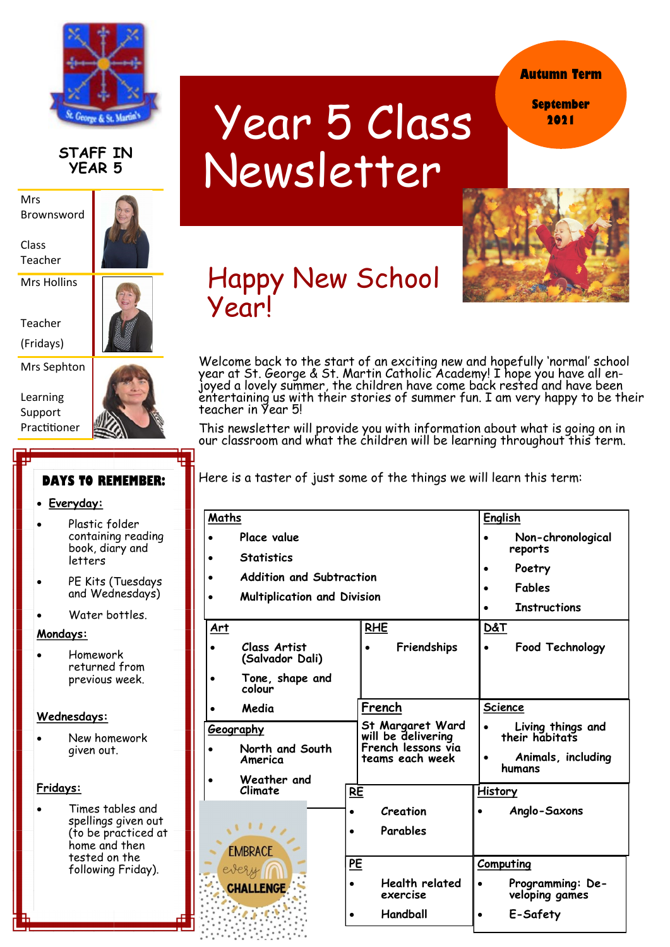

## **STAFF IN YEAR 5**

Mrs Brownsword

Class Teacher

Mrs Hollins

Teacher

(Fridays)

Mrs Sephton

Learning Support Practitioner



# **DAYS TO REMEMBER:**

#### **Everyday:**

- Plastic folder containing reading book, diary and letters
- PE Kits (Tuesdays and Wednesdays)
- Water bottles.

### **Mondays:**

 Homework returned from previous week.

### **Wednesdays:**

 New homework given out.

### **Fridays:**

 Times tables and spellings given out (to be practiced at home and then tested on the following Friday).

# Year 5 Class Newsletter

**Autumn Term**

**September 2021**



Happy New School Year!

Welcome back to the start of an exciting new and hopefully 'normal' school year at St. George & St. Martin Catholic Academy! I hope you have all enjoyed a lovely summer, the children have come back rested and have been entertaining us with their stories of summer fun. I am very happy to be their teacher in Year 5!

This newsletter will provide you with information about what is going on in our classroom and what the children will be learning throughout this term.

Here is a taster of just some of the things we will learn this term:

| Maths                                              |                                 |           |                                        | <b>English</b>      |                                     |
|----------------------------------------------------|---------------------------------|-----------|----------------------------------------|---------------------|-------------------------------------|
|                                                    | Place value                     |           |                                        | Non-chronological   |                                     |
| <b>Statistics</b>                                  |                                 |           |                                        |                     | reports                             |
| <b>Addition and Subtraction</b>                    |                                 |           |                                        |                     | Poetry                              |
| <b>Multiplication and Division</b>                 |                                 |           |                                        |                     | Fables                              |
|                                                    |                                 |           |                                        | <b>Instructions</b> |                                     |
| Art                                                |                                 |           | <b>RHE</b>                             | <b>D&amp;T</b>      |                                     |
|                                                    | Class Artist<br>(Salvador Dali) |           | Friendships                            |                     | Food Technology                     |
|                                                    | Tone, shape and<br>colour       |           |                                        |                     |                                     |
|                                                    | Media                           |           | French                                 | <b>Science</b>      |                                     |
| Geography                                          |                                 |           | St Margaret Ward<br>will be delivering |                     | Living things and<br>their habitats |
|                                                    | North and South<br>America      |           | French lessons via<br>teams each week  | $\bullet$           | Animals, including<br>humans        |
|                                                    | Weather and                     |           |                                        |                     |                                     |
|                                                    | Climate                         | RE        |                                        | <b>History</b>      |                                     |
| $\sqrt{111}$<br><b>EMBRACE</b><br><b>CHALLENGE</b> |                                 | $\bullet$ | Creation                               |                     | Anglo-Saxons                        |
|                                                    |                                 | $\bullet$ | Parables                               |                     |                                     |
|                                                    |                                 |           |                                        |                     |                                     |
|                                                    |                                 | PE        |                                        | Computing           |                                     |
|                                                    |                                 | $\bullet$ | Health related<br>exercise             |                     | Programming: De-<br>veloping games  |
|                                                    |                                 |           | Handball                               | $\bullet$           | E-Safety                            |
|                                                    |                                 |           |                                        |                     |                                     |